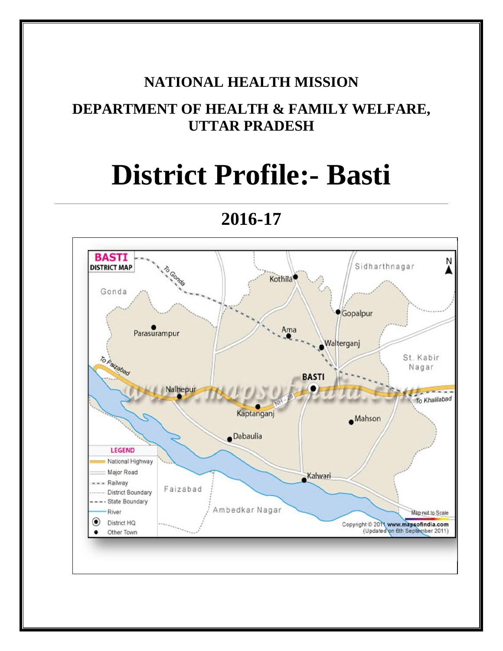# **NATIONAL HEALTH MISSION**

# **DEPARTMENT OF HEALTH & FAMILY WELFARE, UTTAR PRADESH**

# **District Profile:- Basti**

**BASTI** N Sidharthnagar **DISTRICT MAP** Kothila<sup>®</sup> Gonda Gopalpur Ama Parasurampur Walterganj To Falzabad St. Kabir Nagar **BASTI** Nalhepur To Khalilabad Kaptanganj  $Mahson$ Dabaulia **LEGEND** National Highway Major Road Kalwari Railway Faizabad District Boundary State Boundary Ambedkar Nagar River Map not to Scale District HQ Copyright © 2011 www.mapsofindia.com<br>(Updated on 6th September 2011) о Other Town

**2016-17**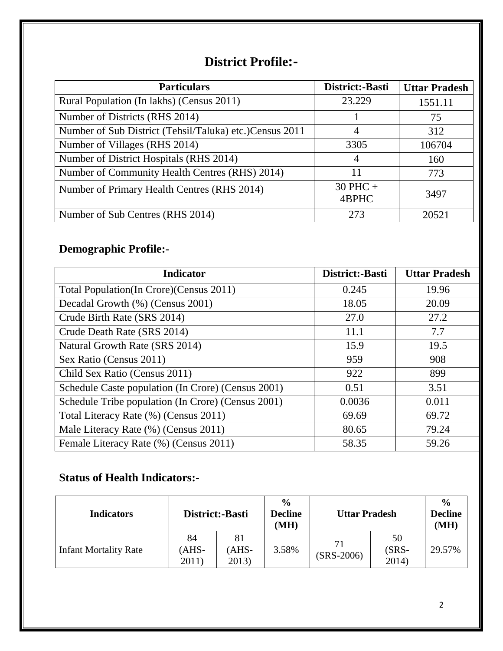# **District Profile:-**

| <b>Particulars</b>                                      | District:-Basti       | <b>Uttar Pradesh</b> |
|---------------------------------------------------------|-----------------------|----------------------|
| Rural Population (In lakhs) (Census 2011)               | 23.229                | 1551.11              |
| Number of Districts (RHS 2014)                          |                       | 75                   |
| Number of Sub District (Tehsil/Taluka) etc.)Census 2011 | 4                     | 312                  |
| Number of Villages (RHS 2014)                           | 3305                  | 106704               |
| Number of District Hospitals (RHS 2014)                 | 4                     | 160                  |
| Number of Community Health Centres (RHS) 2014)          | 11                    | 773                  |
| Number of Primary Health Centres (RHS 2014)             | $30$ PHC $+$<br>4BPHC | 3497                 |
| Number of Sub Centres (RHS 2014)                        | 273                   | 20521                |

# **Demographic Profile:-**

| <b>Indicator</b>                                   | District:-Basti | <b>Uttar Pradesh</b> |
|----------------------------------------------------|-----------------|----------------------|
| Total Population (In Crore) (Census 2011)          | 0.245           | 19.96                |
| Decadal Growth (%) (Census 2001)                   | 18.05           | 20.09                |
| Crude Birth Rate (SRS 2014)                        | 27.0            | 27.2                 |
| Crude Death Rate (SRS 2014)                        | 11.1            | 7.7                  |
| Natural Growth Rate (SRS 2014)                     | 15.9            | 19.5                 |
| Sex Ratio (Census 2011)                            | 959             | 908                  |
| Child Sex Ratio (Census 2011)                      | 922             | 899                  |
| Schedule Caste population (In Crore) (Census 2001) | 0.51            | 3.51                 |
| Schedule Tribe population (In Crore) (Census 2001) | 0.0036          | 0.011                |
| Total Literacy Rate (%) (Census 2011)              | 69.69           | 69.72                |
| Male Literacy Rate (%) (Census 2011)               | 80.65           | 79.24                |
| Female Literacy Rate (%) (Census 2011)             | 58.35           | 59.26                |

# **Status of Health Indicators:-**

| <b>Indicators</b>            | District:-Basti      |                      | $\frac{6}{9}$<br><b>Decline</b><br>(MH) | <b>Uttar Pradesh</b> |                        | $\frac{0}{0}$<br><b>Decline</b><br>(MH) |
|------------------------------|----------------------|----------------------|-----------------------------------------|----------------------|------------------------|-----------------------------------------|
| <b>Infant Mortality Rate</b> | 84<br>'AHS-<br>2011) | 81<br>(AHS-<br>2013) | 3.58%                                   | 71<br>$(SRS-2006)$   | 50<br>$(SRS-$<br>2014) | 29.57%                                  |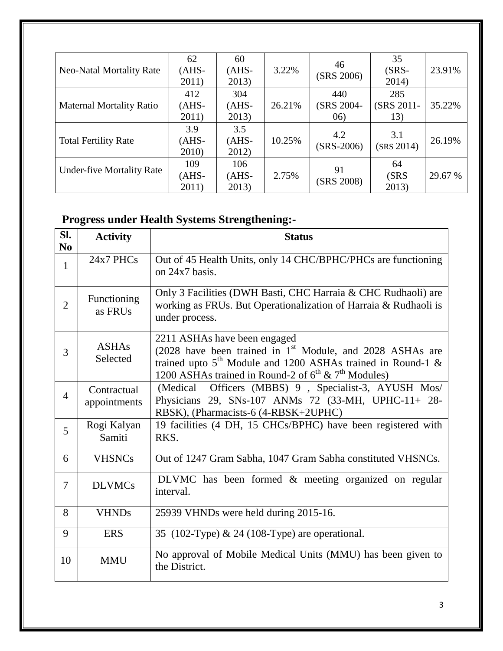| <b>Neo-Natal Mortality Rate</b>  | 62<br>$(AHS-$<br>2011)  | 60<br>$(AHS-$<br>2013)   | 3.22%  | 46<br>(SRS 2006)         | 35<br>$(SRS-$<br>2014)   | 23.91%  |
|----------------------------------|-------------------------|--------------------------|--------|--------------------------|--------------------------|---------|
| <b>Maternal Mortality Ratio</b>  | 412<br>$(AHS-$<br>2011) | 304<br>$(AHS-$<br>2013)  | 26.21% | 440<br>(SRS 2004-<br>06) | 285<br>(SRS 2011-<br>13) | 35.22%  |
| <b>Total Fertility Rate</b>      | 3.9<br>$(AHS-$<br>2010) | 3.5<br>$(AHS -$<br>2012) | 10.25% | 4.2<br>$(SRS-2006)$      | 3.1<br>(SRS 2014)        | 26.19%  |
| <b>Under-five Mortality Rate</b> | 109<br>$(AHS-$<br>2011) | 106<br>$(AHS -$<br>2013) | 2.75%  | 91<br>(SRS 2008)         | 64<br>(SRS)<br>2013)     | 29.67 % |

# **Progress under Health Systems Strengthening:-**

| SI.<br>N <sub>0</sub> | <b>Activity</b>             | <b>Status</b>                                                                                                                                                                                                                           |
|-----------------------|-----------------------------|-----------------------------------------------------------------------------------------------------------------------------------------------------------------------------------------------------------------------------------------|
| $\mathbf{1}$          | 24x7 PHCs                   | Out of 45 Health Units, only 14 CHC/BPHC/PHCs are functioning<br>on $24x7$ basis.                                                                                                                                                       |
| $\overline{2}$        | Functioning<br>as FRUs      | Only 3 Facilities (DWH Basti, CHC Harraia & CHC Rudhaoli) are<br>working as FRUs. But Operationalization of Harraia & Rudhaoli is<br>under process.                                                                                     |
| 3                     | <b>ASHAs</b><br>Selected    | 2211 ASHAs have been engaged<br>(2028 have been trained in 1 <sup>st</sup> Module, and 2028 ASHAs are<br>trained upto $5th$ Module and 1200 ASHAs trained in Round-1 &<br>1200 ASHAs trained in Round-2 of $6^{th}$ & $7^{th}$ Modules) |
| $\overline{4}$        | Contractual<br>appointments | Officers (MBBS) 9, Specialist-3, AYUSH Mos/<br>(Medical)<br>Physicians 29, SNs-107 ANMs 72 (33-MH, UPHC-11+ 28-<br>RBSK), (Pharmacists-6 (4-RBSK+2UPHC)                                                                                 |
| 5                     | Rogi Kalyan<br>Samiti       | 19 facilities (4 DH, 15 CHCs/BPHC) have been registered with<br>RKS.                                                                                                                                                                    |
| 6                     | <b>VHSNCs</b>               | Out of 1247 Gram Sabha, 1047 Gram Sabha constituted VHSNCs.                                                                                                                                                                             |
| $\overline{7}$        | <b>DLVMCs</b>               | DLVMC has been formed & meeting organized on regular<br>interval.                                                                                                                                                                       |
| 8                     | <b>VHNDs</b>                | 25939 VHNDs were held during 2015-16.                                                                                                                                                                                                   |
| 9                     | <b>ERS</b>                  | 35 (102-Type) & 24 (108-Type) are operational.                                                                                                                                                                                          |
| 10                    | <b>MMU</b>                  | No approval of Mobile Medical Units (MMU) has been given to<br>the District.                                                                                                                                                            |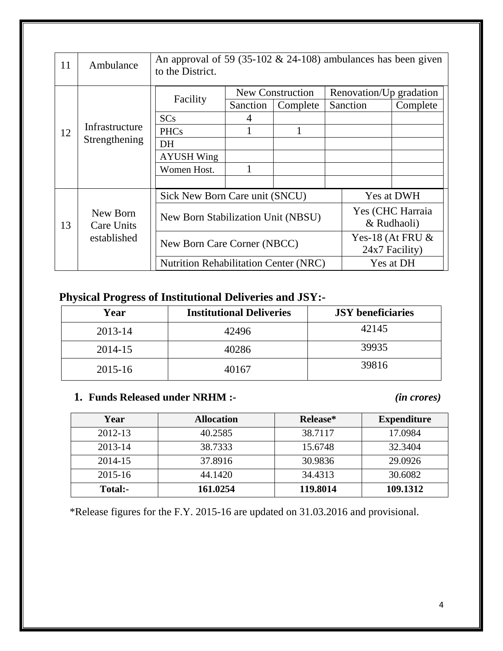| 11 | Ambulance         | An approval of 59 (35-102 $& 24$ -108) ambulances has been given<br>to the District.                              |          |                              |  |                                     |                     |
|----|-------------------|-------------------------------------------------------------------------------------------------------------------|----------|------------------------------|--|-------------------------------------|---------------------|
|    |                   | Facility                                                                                                          | Sanction | New Construction<br>Complete |  | Renovation/Up gradation<br>Sanction | Complete            |
|    |                   | <b>SCs</b>                                                                                                        |          |                              |  |                                     |                     |
| 12 | Infrastructure    | <b>PHCs</b>                                                                                                       |          |                              |  |                                     |                     |
|    | Strengthening     | DH                                                                                                                |          |                              |  |                                     |                     |
|    |                   | <b>AYUSH Wing</b>                                                                                                 |          |                              |  |                                     |                     |
|    |                   | Women Host.                                                                                                       |          |                              |  |                                     |                     |
|    |                   |                                                                                                                   |          |                              |  |                                     |                     |
|    |                   | Sick New Born Care unit (SNCU)                                                                                    |          |                              |  |                                     | Yes at DWH          |
|    | New Born          |                                                                                                                   |          |                              |  |                                     | Yes (CHC Harraia    |
| 13 | <b>Care Units</b> | New Born Stabilization Unit (NBSU)<br>New Born Care Corner (NBCC)<br><b>Nutrition Rehabilitation Center (NRC)</b> |          |                              |  |                                     | & Rudhaoli)         |
|    | established       |                                                                                                                   |          |                              |  |                                     | Yes-18 (At FRU $\&$ |
|    |                   |                                                                                                                   |          |                              |  |                                     | 24x7 Facility)      |
|    |                   |                                                                                                                   |          |                              |  |                                     | Yes at DH           |

## **Physical Progress of Institutional Deliveries and JSY:-**

| Year    | <b>Institutional Deliveries</b> | <b>JSY</b> beneficiaries |
|---------|---------------------------------|--------------------------|
| 2013-14 | 42496                           | 42145                    |
| 2014-15 | 40286                           | 39935                    |
| 2015-16 | 40167                           | 39816                    |

#### **1. Funds Released under NRHM :-** *(in crores)*

| Year    | <b>Allocation</b> | Release* | <b>Expenditure</b> |
|---------|-------------------|----------|--------------------|
| 2012-13 | 40.2585           | 38.7117  | 17.0984            |
| 2013-14 | 38.7333           | 15.6748  | 32.3404            |
| 2014-15 | 37.8916           | 30.9836  | 29.0926            |
| 2015-16 | 44.1420           | 34.4313  | 30.6082            |
| Total:- | 161.0254          | 119.8014 | 109.1312           |

\*Release figures for the F.Y. 2015-16 are updated on 31.03.2016 and provisional.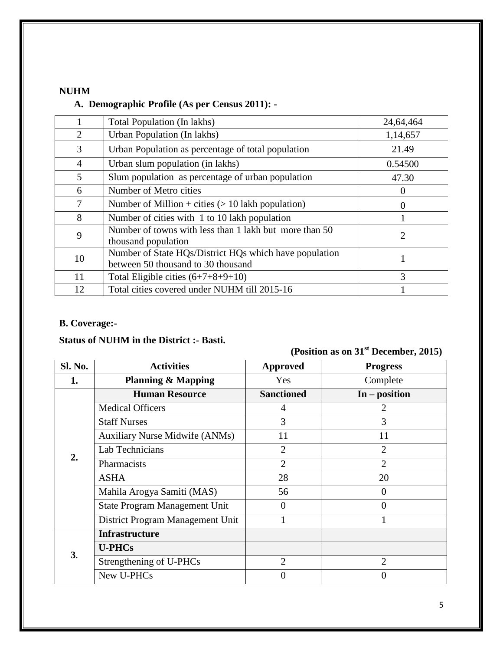#### **NUHM**

#### **A. Demographic Profile (As per Census 2011): -**

|                | Total Population (In lakhs)                                                                  | 24,64,464     |
|----------------|----------------------------------------------------------------------------------------------|---------------|
| $\overline{2}$ | Urban Population (In lakhs)                                                                  | 1,14,657      |
| 3              | Urban Population as percentage of total population                                           | 21.49         |
| 4              | Urban slum population (in lakhs)                                                             | 0.54500       |
| 5              | Slum population as percentage of urban population                                            | 47.30         |
| 6              | Number of Metro cities                                                                       | 0             |
| 7              | Number of Million + cities $(> 10$ lakh population)                                          | 0             |
| 8              | Number of cities with 1 to 10 lakh population                                                |               |
| 9              | Number of towns with less than 1 lakh but more than 50<br>thousand population                | 2             |
| 10             | Number of State HQs/District HQs which have population<br>between 50 thousand to 30 thousand |               |
| 11             | Total Eligible cities $(6+7+8+9+10)$                                                         | $\mathcal{R}$ |
| 12             | Total cities covered under NUHM till 2015-16                                                 |               |

### **B. Coverage:-**

#### **Status of NUHM in the District :- Basti.**

| (Position as on $31st$ December, 2015) |  |  |
|----------------------------------------|--|--|
|----------------------------------------|--|--|

| Sl. No. | <b>Activities</b>                     | <b>Approved</b>   | <b>Progress</b> |
|---------|---------------------------------------|-------------------|-----------------|
| 1.      | <b>Planning &amp; Mapping</b>         | Yes               | Complete        |
|         | <b>Human Resource</b>                 | <b>Sanctioned</b> | $In - position$ |
|         | <b>Medical Officers</b>               | 4                 | 2               |
|         | <b>Staff Nurses</b>                   | 3                 | 3               |
|         | <b>Auxiliary Nurse Midwife (ANMs)</b> | 11                | 11              |
| 2.      | Lab Technicians                       | $\overline{2}$    | $\overline{2}$  |
|         | Pharmacists                           | $\overline{2}$    | $\overline{2}$  |
|         | <b>ASHA</b>                           | 28                | 20              |
|         | Mahila Arogya Samiti (MAS)            | 56                | $\Omega$        |
|         | State Program Management Unit         | 0                 | 0               |
|         | District Program Management Unit      |                   |                 |
|         | <b>Infrastructure</b>                 |                   |                 |
| 3.      | <b>U-PHCs</b>                         |                   |                 |
|         | Strengthening of U-PHCs               | $\overline{2}$    | $\overline{2}$  |
|         | New U-PHCs                            | 0                 |                 |